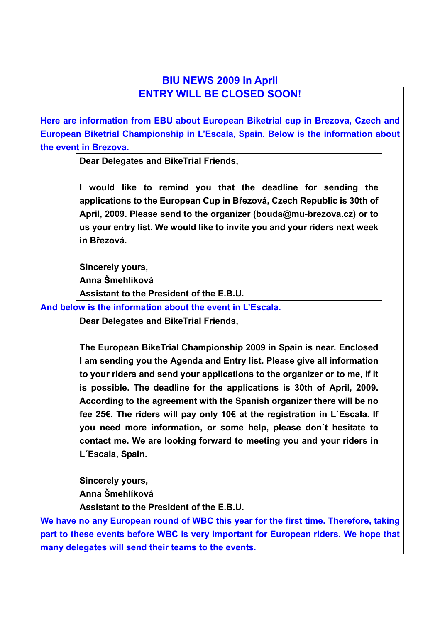## **BIU NEWS 2009 in April ENTRY WILL BE CLOSED SOON!**

**Here are information from EBU about European Biketrial cup in Brezova, Czech and European Biketrial Championship in L'Escala, Spain. Below is the information about the event in Brezova.** 

**Dear Delegates and BikeTrial Friends,** 

**I would like to remind you that the deadline for sending the applications to the European Cup in Březová, Czech Republic is 30th of April, 2009. Please send to the organizer (bouda@mu-brezova.cz) or to us your entry list. We would like to invite you and your riders next week in Březová.** 

**Sincerely yours,** 

**Anna Šmehlíková** 

**Assistant to the President of the E.B.U.**

**And below is the information about the event in L'Escala.** 

**Dear Delegates and BikeTrial Friends,** 

**The European BikeTrial Championship 2009 in Spain is near. Enclosed I am sending you the Agenda and Entry list. Please give all information to your riders and send your applications to the organizer or to me, if it is possible. The deadline for the applications is 30th of April, 2009. According to the agreement with the Spanish organizer there will be no fee 25€. The riders will pay only 10€ at the registration in L´Escala. If you need more information, or some help, please don´t hesitate to contact me. We are looking forward to meeting you and your riders in L´Escala, Spain.** 

**Sincerely yours, Anna Šmehlíková Assistant to the President of the E.B.U.** 

**We have no any European round of WBC this year for the first time. Therefore, taking part to these events before WBC is very important for European riders. We hope that many delegates will send their teams to the events.**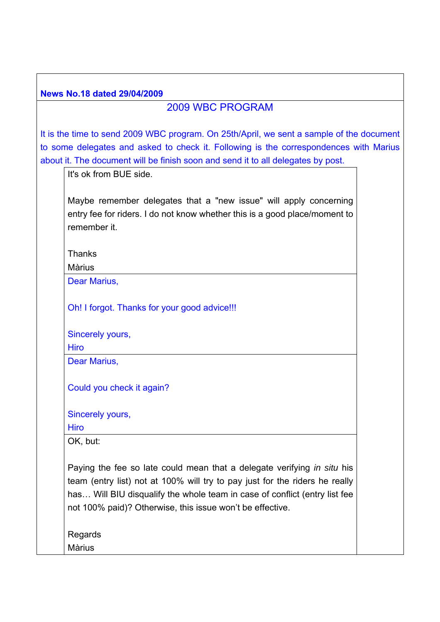| <b>News No.18 dated 29/04/2009</b>                                                                                                                                                                                                                                                                |
|---------------------------------------------------------------------------------------------------------------------------------------------------------------------------------------------------------------------------------------------------------------------------------------------------|
| <b>2009 WBC PROGRAM</b>                                                                                                                                                                                                                                                                           |
| It is the time to send 2009 WBC program. On 25th/April, we sent a sample of the document<br>to some delegates and asked to check it. Following is the correspondences with Marius<br>about it. The document will be finish soon and send it to all delegates by post.<br>It's ok from BUE side.   |
| Maybe remember delegates that a "new issue" will apply concerning<br>entry fee for riders. I do not know whether this is a good place/moment to<br>remember it.                                                                                                                                   |
| <b>Thanks</b><br><b>Màrius</b>                                                                                                                                                                                                                                                                    |
| Dear Marius,                                                                                                                                                                                                                                                                                      |
| Oh! I forgot. Thanks for your good advice!!!                                                                                                                                                                                                                                                      |
| Sincerely yours,                                                                                                                                                                                                                                                                                  |
| <b>Hiro</b>                                                                                                                                                                                                                                                                                       |
| Dear Marius,                                                                                                                                                                                                                                                                                      |
| Could you check it again?                                                                                                                                                                                                                                                                         |
| Sincerely yours,                                                                                                                                                                                                                                                                                  |
| <b>Hiro</b>                                                                                                                                                                                                                                                                                       |
| OK, but:                                                                                                                                                                                                                                                                                          |
| Paying the fee so late could mean that a delegate verifying in situ his<br>team (entry list) not at 100% will try to pay just for the riders he really<br>has Will BIU disqualify the whole team in case of conflict (entry list fee<br>not 100% paid)? Otherwise, this issue won't be effective. |
| Regards                                                                                                                                                                                                                                                                                           |
| <b>Màrius</b>                                                                                                                                                                                                                                                                                     |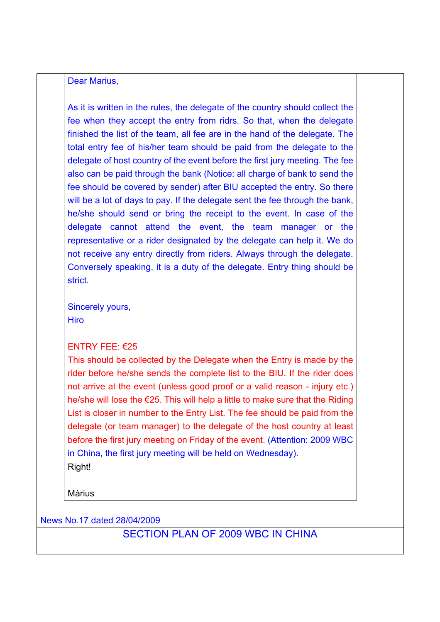#### Dear Marius,

As it is written in the rules, the delegate of the country should collect the fee when they accept the entry from ridrs. So that, when the delegate finished the list of the team, all fee are in the hand of the delegate. The total entry fee of his/her team should be paid from the delegate to the delegate of host country of the event before the first jury meeting. The fee also can be paid through the bank (Notice: all charge of bank to send the fee should be covered by sender) after BIU accepted the entry. So there will be a lot of days to pay. If the delegate sent the fee through the bank, he/she should send or bring the receipt to the event. In case of the delegate cannot attend the event, the team manager or the representative or a rider designated by the delegate can help it. We do not receive any entry directly from riders. Always through the delegate. Conversely speaking, it is a duty of the delegate. Entry thing should be strict.

Sincerely yours, **Hiro** 

#### ENTRY FEE:  $625$

This should be collected by the Delegate when the Entry is made by the rider before he/she sends the complete list to the BIU. If the rider does not arrive at the event (unless good proof or a valid reason - injury etc.) he/she will lose the €25. This will help a little to make sure that the Riding List is closer in number to the Entry List. The fee should be paid from the delegate (or team manager) to the delegate of the host country at least before the first jury meeting on Friday of the event. (Attention: 2009 WBC in China, the first jury meeting will be held on Wednesday).

Right!

Màrius

News No.17 dated 28/04/2009

# SECTION PLAN OF 2009 WBC IN CHINA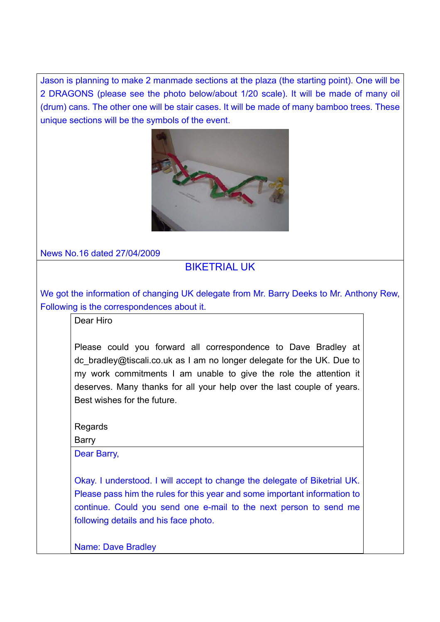Jason is planning to make 2 manmade sections at the plaza (the starting point). One will be 2 DRAGONS (please see the photo below/about 1/20 scale). It will be made of many oil (drum) cans. The other one will be stair cases. It will be made of many bamboo trees. These unique sections will be the symbols of the event.



News No.16 dated 27/04/2009

# BIKETRIAL UK

We got the information of changing UK delegate from Mr. Barry Deeks to Mr. Anthony Rew, Following is the correspondences about it.

Dear Hiro

Please could you forward all correspondence to Dave Bradley at dc\_bradley@tiscali.co.uk as I am no longer delegate for the UK. Due to my work commitments I am unable to give the role the attention it deserves. Many thanks for all your help over the last couple of years. Best wishes for the future.

Regards

Barry

Dear Barry,

Okay. I understood. I will accept to change the delegate of Biketrial UK. Please pass him the rules for this year and some important information to continue. Could you send one e-mail to the next person to send me following details and his face photo.

Name: Dave Bradley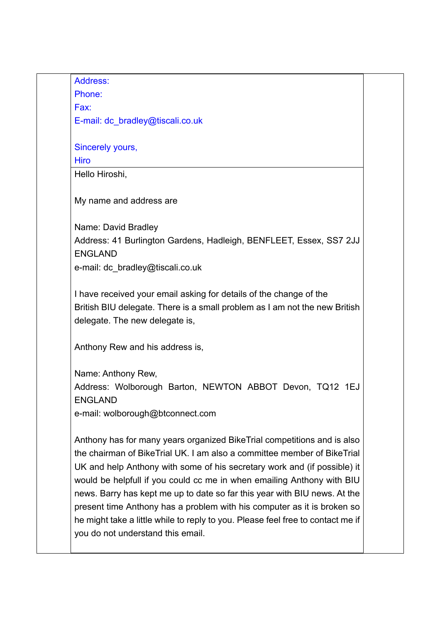Address:

Phone: Fax:

E-mail: dc\_bradley@tiscali.co.uk

Sincerely yours,

**Hiro** 

Hello Hiroshi,

My name and address are

Name: David Bradley Address: 41 Burlington Gardens, Hadleigh, BENFLEET, Essex, SS7 2JJ ENGLAND e-mail: dc\_bradley@tiscali.co.uk

I have received your email asking for details of the change of the British BIU delegate. There is a small problem as I am not the new British delegate. The new delegate is,

Anthony Rew and his address is,

Name: Anthony Rew, Address: Wolborough Barton, NEWTON ABBOT Devon, TQ12 1EJ ENGLAND

e-mail: wolborough@btconnect.com

Anthony has for many years organized BikeTrial competitions and is also the chairman of BikeTrial UK. I am also a committee member of BikeTrial UK and help Anthony with some of his secretary work and (if possible) it would be helpfull if you could cc me in when emailing Anthony with BIU news. Barry has kept me up to date so far this year with BIU news. At the present time Anthony has a problem with his computer as it is broken so he might take a little while to reply to you. Please feel free to contact me if you do not understand this email.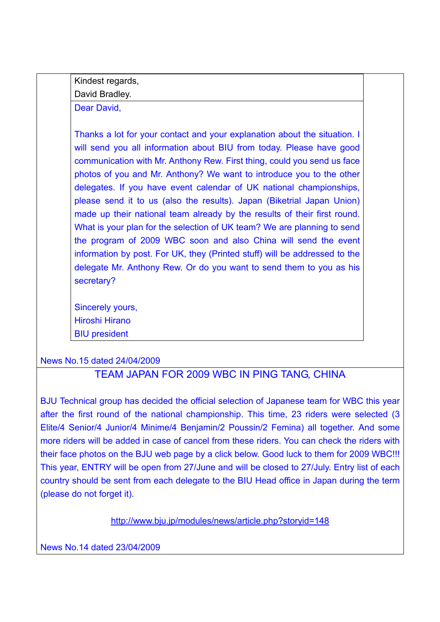Kindest regards,

David Bradley.

Dear David,

Thanks a lot for your contact and your explanation about the situation. I will send you all information about BIU from today. Please have good communication with Mr. Anthony Rew. First thing, could you send us face photos of you and Mr. Anthony? We want to introduce you to the other delegates. If you have event calendar of UK national championships, please send it to us (also the results). Japan (Biketrial Japan Union) made up their national team already by the results of their first round. What is your plan for the selection of UK team? We are planning to send the program of 2009 WBC soon and also China will send the event information by post. For UK, they (Printed stuff) will be addressed to the delegate Mr. Anthony Rew. Or do you want to send them to you as his secretary?

Sincerely yours, Hiroshi Hirano BIU president

News No.15 dated 24/04/2009

# TEAM JAPAN FOR 2009 WBC IN PING TANG, CHINA

BJU Technical group has decided the official selection of Japanese team for WBC this year after the first round of the national championship. This time, 23 riders were selected (3 Elite/4 Senior/4 Junior/4 Minime/4 Benjamin/2 Poussin/2 Femina) all together. And some more riders will be added in case of cancel from these riders. You can check the riders with their face photos on the BJU web page by a click below. Good luck to them for 2009 WBC!!! This year, ENTRY will be open from 27/June and will be closed to 27/July. Entry list of each country should be sent from each delegate to the BIU Head office in Japan during the term (please do not forget it).

http://www.bju.jp/modules/news/article.php?storyid=148

News No.14 dated 23/04/2009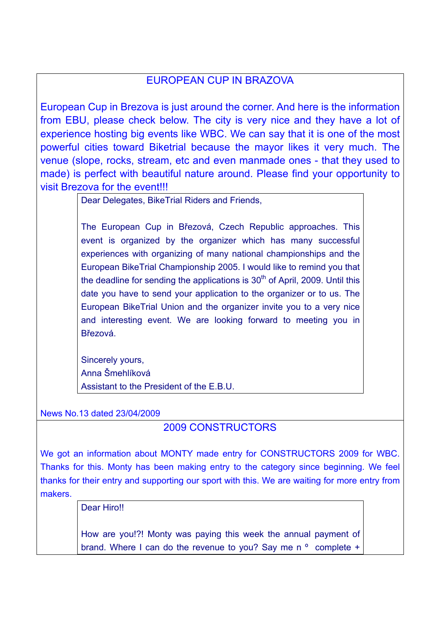# EUROPEAN CUP IN BRAZOVA

European Cup in Brezova is just around the corner. And here is the information from EBU, please check below. The city is very nice and they have a lot of experience hosting big events like WBC. We can say that it is one of the most powerful cities toward Biketrial because the mayor likes it very much. The venue (slope, rocks, stream, etc and even manmade ones - that they used to made) is perfect with beautiful nature around. Please find your opportunity to visit Brezova for the event!!!

Dear Delegates, BikeTrial Riders and Friends,

The European Cup in Březová, Czech Republic approaches. This event is organized by the organizer which has many successful experiences with organizing of many national championships and the European BikeTrial Championship 2005. I would like to remind you that the deadline for sending the applications is  $30<sup>th</sup>$  of April, 2009. Until this date you have to send your application to the organizer or to us. The European BikeTrial Union and the organizer invite you to a very nice and interesting event. We are looking forward to meeting you in Březová.

Sincerely yours, Anna Šmehlíková Assistant to the President of the E.B.U.

News No.13 dated 23/04/2009

# 2009 CONSTRUCTORS

We got an information about MONTY made entry for CONSTRUCTORS 2009 for WBC. Thanks for this. Monty has been making entry to the category since beginning. We feel thanks for their entry and supporting our sport with this. We are waiting for more entry from makers.

Dear Hiro!!

How are you!?! Monty was paying this week the annual payment of brand. Where I can do the revenue to you? Say me n ° complete +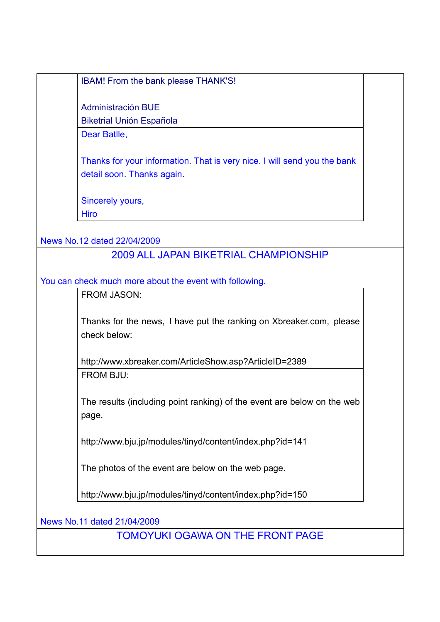IBAM! From the bank please THANK'S!

Administración BUE Biketrial Unión Española

Dear Batlle,

Thanks for your information. That is very nice. I will send you the bank detail soon. Thanks again.

Sincerely yours, **Hiro** 

News No.12 dated 22/04/2009

## 2009 ALL JAPAN BIKETRIAL CHAMPIONSHIP

You can check much more about the event with following.

FROM JASON:

Thanks for the news, I have put the ranking on Xbreaker.com, please check below:

http://www.xbreaker.com/ArticleShow.asp?ArticleID=2389 FROM BJU:

The results (including point ranking) of the event are below on the web page.

http://www.bju.jp/modules/tinyd/content/index.php?id=141

The photos of the event are below on the web page.

http://www.bju.jp/modules/tinyd/content/index.php?id=150

News No.11 dated 21/04/2009

TOMOYUKI OGAWA ON THE FRONT PAGE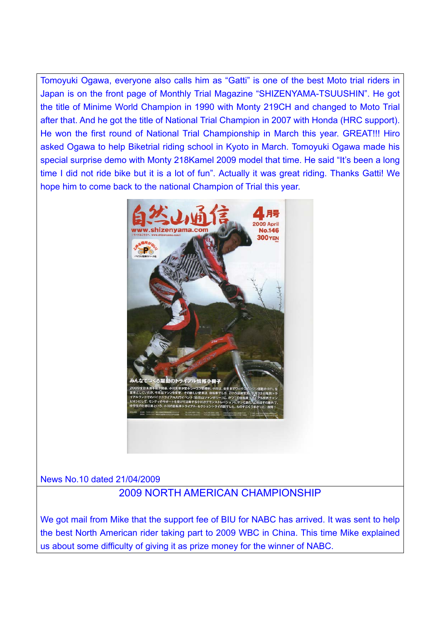Tomoyuki Ogawa, everyone also calls him as "Gatti" is one of the best Moto trial riders in Japan is on the front page of Monthly Trial Magazine "SHIZENYAMA-TSUUSHIN". He got the title of Minime World Champion in 1990 with Monty 219CH and changed to Moto Trial after that. And he got the title of National Trial Champion in 2007 with Honda (HRC support). He won the first round of National Trial Championship in March this year. GREAT!!! Hiro asked Ogawa to help Biketrial riding school in Kyoto in March. Tomoyuki Ogawa made his special surprise demo with Monty 218Kamel 2009 model that time. He said "It's been a long time I did not ride bike but it is a lot of fun". Actually it was great riding. Thanks Gatti! We hope him to come back to the national Champion of Trial this year.



News No.10 dated 21/04/2009

# 2009 NORTH AMERICAN CHAMPIONSHIP

We got mail from Mike that the support fee of BIU for NABC has arrived. It was sent to help the best North American rider taking part to 2009 WBC in China. This time Mike explained us about some difficulty of giving it as prize money for the winner of NABC.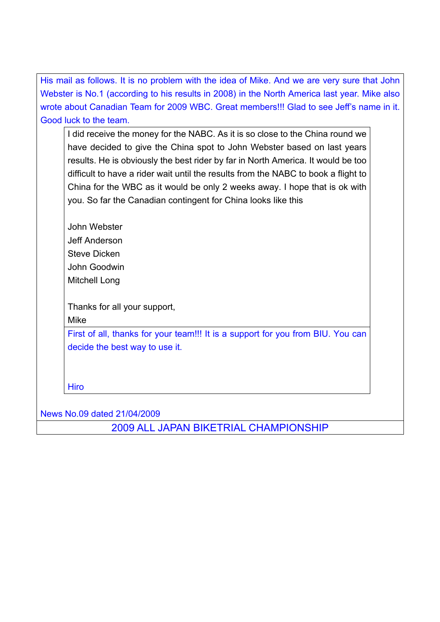His mail as follows. It is no problem with the idea of Mike. And we are very sure that John Webster is No.1 (according to his results in 2008) in the North America last year. Mike also wrote about Canadian Team for 2009 WBC. Great members!!! Glad to see Jeff's name in it. Good luck to the team.

I did receive the money for the NABC. As it is so close to the China round we have decided to give the China spot to John Webster based on last years results. He is obviously the best rider by far in North America. It would be too difficult to have a rider wait until the results from the NABC to book a flight to China for the WBC as it would be only 2 weeks away. I hope that is ok with you. So far the Canadian contingent for China looks like this

John Webster Jeff Anderson Steve Dicken John Goodwin Mitchell Long

Thanks for all your support,

Mike

First of all, thanks for your team!!! It is a support for you from BIU. You can decide the best way to use it.

Hiro

News No.09 dated 21/04/2009

2009 ALL JAPAN BIKETRIAL CHAMPIONSHIP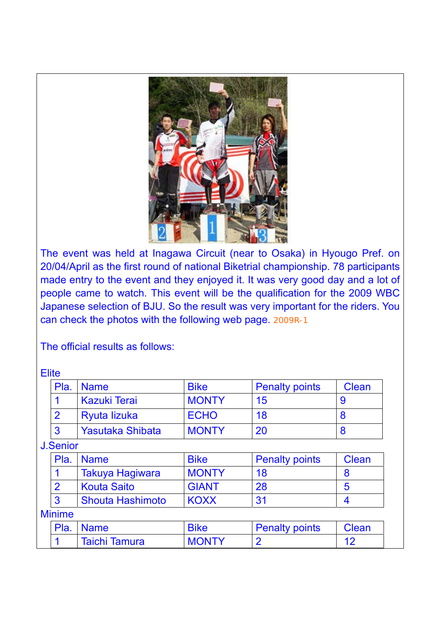

The event was held at Inagawa Circuit (near to Osaka) in Hyougo Pref. on 20/04/April as the first round of national Biketrial championship. 78 participants made entry to the event and they enjoyed it. It was very good day and a lot of people came to watch. This event will be the qualification for the 2009 WBC Japanese selection of BJU. So the result was very important for the riders. You can check the photos with the following web page. 2009R-1

The official results as follows:

**Elite** 

| Pla. | <b>Name</b>             | <b>Bike</b>  | <b>Penalty points</b> | Clean |
|------|-------------------------|--------------|-----------------------|-------|
|      | <b>Kazuki Terai</b>     | <b>MONTY</b> | 15                    |       |
|      | Ryuta lizuka            | <b>ECHO</b>  | 18                    |       |
|      | <b>Yasutaka Shibata</b> | <b>MONTY</b> | 20                    |       |

J.Senior

| Pla. | <b>Name</b>             | <b>Bike</b>  | <b>Penalty points</b> | <b>Clean</b> |
|------|-------------------------|--------------|-----------------------|--------------|
|      | Takuya Hagiwara         | <b>MONTY</b> | 18                    |              |
|      | Kouta Saito             | <b>GIANT</b> | 28                    | b            |
|      | <b>Shouta Hashimoto</b> | <b>KOXX</b>  | 31                    |              |

### Minime

| Pla. Name     | <b>Bike</b>  | <b>Penalty points</b> | Clean |
|---------------|--------------|-----------------------|-------|
| Taichi Tamura | <b>MONTY</b> |                       |       |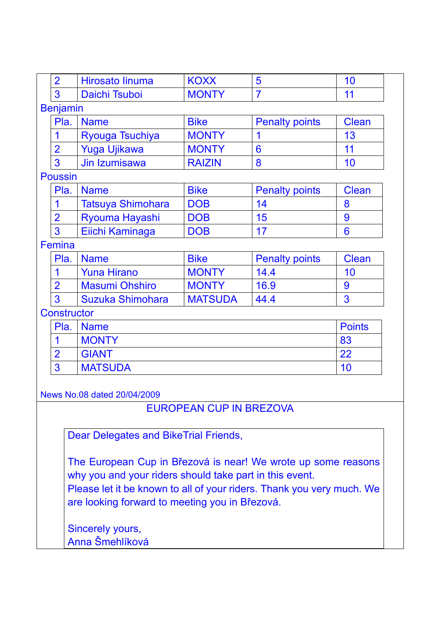| $\overline{2}$     | Hirosato linuma                                                       | <b>KOXX</b>                    | 5                     | 10            |
|--------------------|-----------------------------------------------------------------------|--------------------------------|-----------------------|---------------|
| 3                  | Daichi Tsuboi                                                         | <b>MONTY</b>                   | $\overline{7}$        | 11            |
| <b>Benjamin</b>    |                                                                       |                                |                       |               |
| Pla.               | <b>Name</b>                                                           | <b>Bike</b>                    | <b>Penalty points</b> | <b>Clean</b>  |
| 1                  | Ryouga Tsuchiya                                                       | <b>MONTY</b>                   | 1                     | 13            |
| $\overline{2}$     | <b>Yuga Ujikawa</b>                                                   | <b>MONTY</b>                   | 6                     | 11            |
| 3                  | Jin Izumisawa                                                         | <b>RAIZIN</b>                  | 8                     | 10            |
| <b>Poussin</b>     |                                                                       |                                |                       |               |
| Pla.               | <b>Name</b>                                                           | <b>Bike</b>                    | <b>Penalty points</b> | <b>Clean</b>  |
| 1                  | <b>Tatsuya Shimohara</b>                                              | <b>DOB</b>                     | 14                    | 8             |
| $\overline{2}$     | Ryouma Hayashi                                                        | <b>DOB</b>                     | 15                    | 9             |
| 3                  | Eiichi Kaminaga                                                       | <b>DOB</b>                     | 17                    | 6             |
| Femina             |                                                                       |                                |                       |               |
| Pla.               | <b>Name</b>                                                           | <b>Bike</b>                    | <b>Penalty points</b> | <b>Clean</b>  |
| 1                  | <b>Yuna Hirano</b>                                                    | <b>MONTY</b>                   | 14.4                  | 10            |
| $\overline{2}$     | <b>Masumi Ohshiro</b>                                                 | <b>MONTY</b>                   | 16.9                  | 9             |
| 3                  | Suzuka Shimohara                                                      | <b>MATSUDA</b>                 | 44.4                  | 3             |
| <b>Constructor</b> |                                                                       |                                |                       |               |
| Pla.               | <b>Name</b>                                                           |                                |                       | <b>Points</b> |
| 1                  | <b>MONTY</b>                                                          |                                |                       | 83            |
| $\overline{2}$     | <b>GIANT</b>                                                          |                                |                       | 22            |
| 3                  | <b>MATSUDA</b>                                                        |                                |                       | 10            |
|                    |                                                                       |                                |                       |               |
|                    | News No.08 dated 20/04/2009                                           |                                |                       |               |
|                    |                                                                       | <b>EUROPEAN CUP IN BREZOVA</b> |                       |               |
|                    |                                                                       |                                |                       |               |
|                    | Dear Delegates and BikeTrial Friends,                                 |                                |                       |               |
|                    |                                                                       |                                |                       |               |
|                    | The European Cup in Březová is near! We wrote up some reasons         |                                |                       |               |
|                    | why you and your riders should take part in this event.               |                                |                       |               |
|                    | Please let it be known to all of your riders. Thank you very much. We |                                |                       |               |
|                    | are looking forward to meeting you in Březová.                        |                                |                       |               |
|                    |                                                                       |                                |                       |               |
|                    | Sincerely yours,                                                      |                                |                       |               |
|                    | Anna Šmehlíková                                                       |                                |                       |               |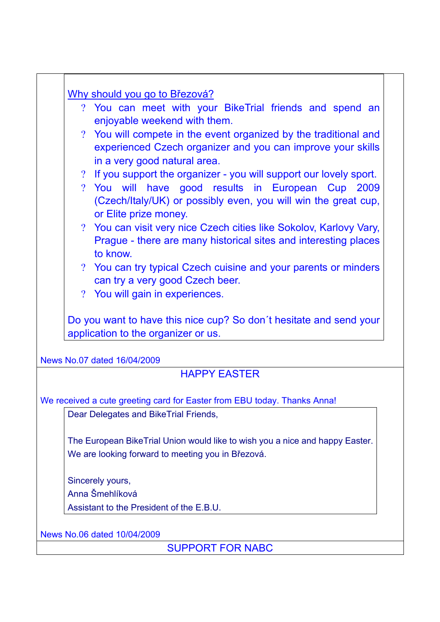| Why should you go to Březová?<br>? You can meet with your BikeTrial friends and spend an                                                                        |
|-----------------------------------------------------------------------------------------------------------------------------------------------------------------|
| enjoyable weekend with them.                                                                                                                                    |
| ? You will compete in the event organized by the traditional and<br>experienced Czech organizer and you can improve your skills<br>in a very good natural area. |
| ? If you support the organizer - you will support our lovely sport.                                                                                             |
| ? You will have good results in European Cup 2009<br>(Czech/Italy/UK) or possibly even, you will win the great cup,<br>or Elite prize money.                    |
| ? You can visit very nice Czech cities like Sokolov, Karlovy Vary,<br>Prague - there are many historical sites and interesting places<br>to know.               |
| ? You can try typical Czech cuisine and your parents or minders<br>can try a very good Czech beer.                                                              |
| ? You will gain in experiences.                                                                                                                                 |
| application to the organizer or us.                                                                                                                             |
| Do you want to have this nice cup? So don't hesitate and send your<br>News No.07 dated 16/04/2009                                                               |
| <b>HAPPY EASTER</b>                                                                                                                                             |
| We received a cute greeting card for Easter from EBU today. Thanks Anna!                                                                                        |
| Dear Delegates and BikeTrial Friends,                                                                                                                           |
| The European BikeTrial Union would like to wish you a nice and happy Easter.                                                                                    |
| We are looking forward to meeting you in Březová.                                                                                                               |
| Sincerely yours,                                                                                                                                                |
| Anna Šmehlíková                                                                                                                                                 |
| Assistant to the President of the E.B.U.                                                                                                                        |
|                                                                                                                                                                 |
| News No.06 dated 10/04/2009                                                                                                                                     |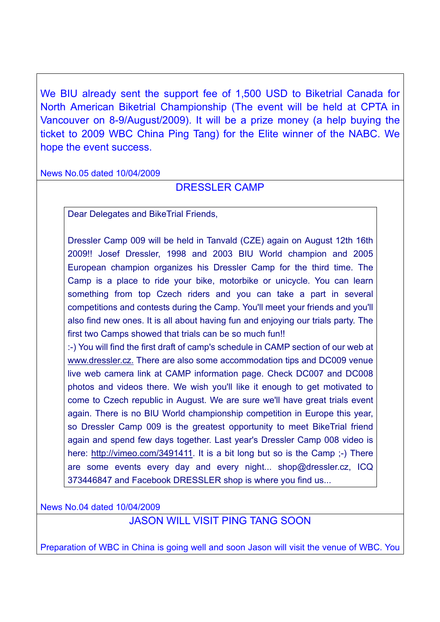We BIU already sent the support fee of 1,500 USD to Biketrial Canada for North American Biketrial Championship (The event will be held at CPTA in Vancouver on 8-9/August/2009). It will be a prize money (a help buying the ticket to 2009 WBC China Ping Tang) for the Elite winner of the NABC. We hope the event success.

News No.05 dated 10/04/2009

### DRESSLER CAMP

Dear Delegates and BikeTrial Friends,

Dressler Camp 009 will be held in Tanvald (CZE) again on August 12th 16th 2009!! Josef Dressler, 1998 and 2003 BIU World champion and 2005 European champion organizes his Dressler Camp for the third time. The Camp is a place to ride your bike, motorbike or unicycle. You can learn something from top Czech riders and you can take a part in several competitions and contests during the Camp. You'll meet your friends and you'll also find new ones. It is all about having fun and enjoying our trials party. The first two Camps showed that trials can be so much fun!!

:-) You will find the first draft of camp's schedule in CAMP section of our web at www.dressler.cz. There are also some accommodation tips and DC009 venue live web camera link at CAMP information page. Check DC007 and DC008 photos and videos there. We wish you'll like it enough to get motivated to come to Czech republic in August. We are sure we'll have great trials event again. There is no BIU World championship competition in Europe this year, so Dressler Camp 009 is the greatest opportunity to meet BikeTrial friend again and spend few days together. Last year's Dressler Camp 008 video is here: http://vimeo.com/3491411. It is a bit long but so is the Camp ;-) There are some events every day and every night... shop@dressler.cz, ICQ 373446847 and Facebook DRESSLER shop is where you find us...

News No.04 dated 10/04/2009

JASON WILL VISIT PING TANG SOON

Preparation of WBC in China is going well and soon Jason will visit the venue of WBC. You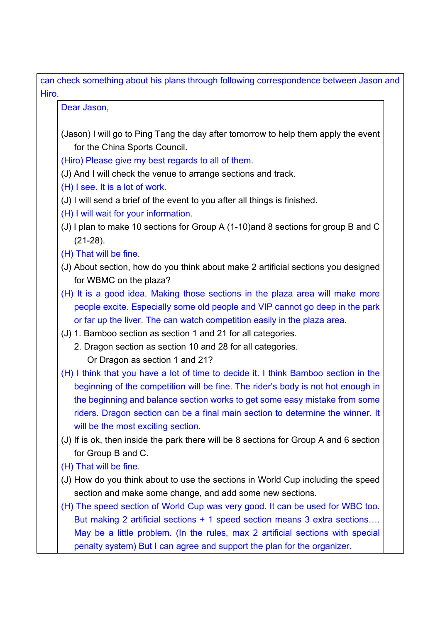can check something about his plans through following correspondence between Jason and Hiro.

Dear Jason,

(Jason) I will go to Ping Tang the day after tomorrow to help them apply the event for the China Sports Council.

(Hiro) Please give my best regards to all of them.

- (J) And I will check the venue to arrange sections and track.
- (H) I see. It is a lot of work.
- (J) I will send a brief of the event to you after all things is finished.
- (H) I will wait for your information.
- (J) I plan to make 10 sections for Group A (1-10)and 8 sections for group B and C (21-28).
- (H) That will be fine.
- (J) About section, how do you think about make 2 artificial sections you designed for WBMC on the plaza?
- (H) It is a good idea. Making those sections in the plaza area will make more people excite. Especially some old people and VIP cannot go deep in the park or far up the liver. The can watch competition easily in the plaza area.
- (J) 1. Bamboo section as section 1 and 21 for all categories.
	- 2. Dragon section as section 10 and 28 for all categories. Or Dragon as section 1 and 21?
- (H) I think that you have a lot of time to decide it. I think Bamboo section in the beginning of the competition will be fine. The rider's body is not hot enough in the beginning and balance section works to get some easy mistake from some riders. Dragon section can be a final main section to determine the winner. It will be the most exciting section.
- (J) If is ok, then inside the park there will be 8 sections for Group A and 6 section for Group B and C.
- (H) That will be fine.
- (J) How do you think about to use the sections in World Cup including the speed section and make some change, and add some new sections.
- (H) The speed section of World Cup was very good. It can be used for WBC too. But making 2 artificial sections + 1 speed section means 3 extra sections…. May be a little problem. (In the rules, max 2 artificial sections with special penalty system) But I can agree and support the plan for the organizer.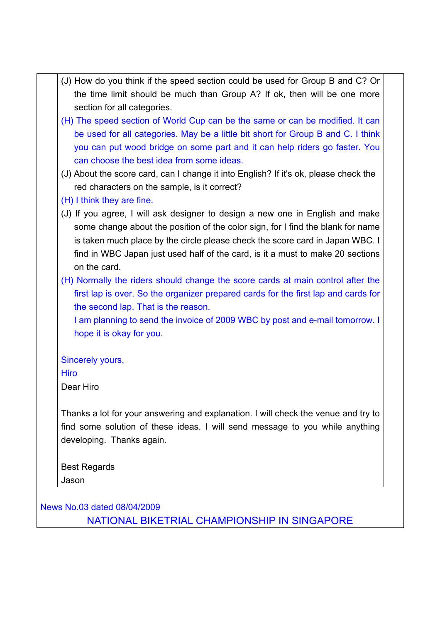(J) How do you think if the speed section could be used for Group B and C? Or the time limit should be much than Group A? If ok, then will be one more section for all categories. (H) The speed section of World Cup can be the same or can be modified. It can be used for all categories. May be a little bit short for Group B and C. I think you can put wood bridge on some part and it can help riders go faster. You can choose the best idea from some ideas. (J) About the score card, can I change it into English? If it's ok, please check the red characters on the sample, is it correct? (H) I think they are fine. (J) If you agree, I will ask designer to design a new one in English and make some change about the position of the color sign, for I find the blank for name is taken much place by the circle please check the score card in Japan WBC. I find in WBC Japan just used half of the card, is it a must to make 20 sections on the card. (H) Normally the riders should change the score cards at main control after the first lap is over. So the organizer prepared cards for the first lap and cards for the second lap. That is the reason. I am planning to send the invoice of 2009 WBC by post and e-mail tomorrow. I hope it is okay for you. Sincerely yours, Hiro Dear Hiro Thanks a lot for your answering and explanation. I will check the venue and try to find some solution of these ideas. I will send message to you while anything

Best Regards Jason

News No.03 dated 08/04/2009

developing. Thanks again.

NATIONAL BIKETRIAL CHAMPIONSHIP IN SINGAPORE